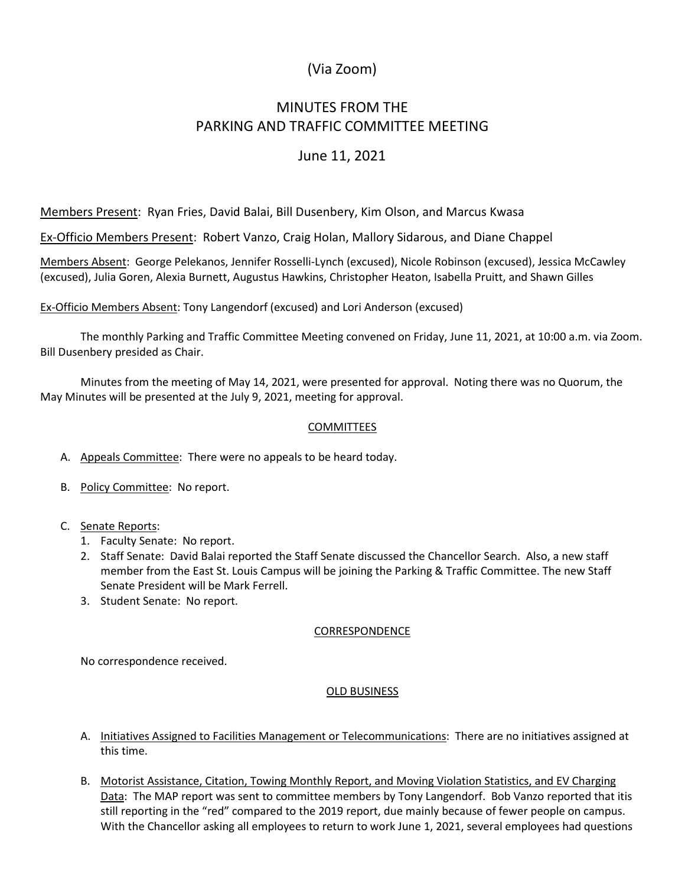# (Via Zoom)

# MINUTES FROM THE PARKING AND TRAFFIC COMMITTEE MEETING

## June 11, 2021

Members Present: Ryan Fries, David Balai, Bill Dusenbery, Kim Olson, and Marcus Kwasa

Ex-Officio Members Present: Robert Vanzo, Craig Holan, Mallory Sidarous, and Diane Chappel

Members Absent: George Pelekanos, Jennifer Rosselli-Lynch (excused), Nicole Robinson (excused), Jessica McCawley (excused), Julia Goren, Alexia Burnett, Augustus Hawkins, Christopher Heaton, Isabella Pruitt, and Shawn Gilles

Ex-Officio Members Absent: Tony Langendorf (excused) and Lori Anderson (excused)

The monthly Parking and Traffic Committee Meeting convened on Friday, June 11, 2021, at 10:00 a.m. via Zoom. Bill Dusenbery presided as Chair.

Minutes from the meeting of May 14, 2021, were presented for approval. Noting there was no Quorum, the May Minutes will be presented at the July 9, 2021, meeting for approval.

### **COMMITTEES**

A. Appeals Committee: There were no appeals to be heard today.

- B. Policy Committee: No report.
- C. Senate Reports:
	- 1. Faculty Senate: No report.
	- 2. Staff Senate: David Balai reported the Staff Senate discussed the Chancellor Search. Also, a new staff member from the East St. Louis Campus will be joining the Parking & Traffic Committee. The new Staff Senate President will be Mark Ferrell.
	- 3. Student Senate: No report.

#### CORRESPONDENCE

No correspondence received.

### OLD BUSINESS

- A. Initiatives Assigned to Facilities Management or Telecommunications: There are no initiatives assigned at this time.
- B. Motorist Assistance, Citation, Towing Monthly Report, and Moving Violation Statistics, and EV Charging Data: The MAP report was sent to committee members by Tony Langendorf. Bob Vanzo reported that itis still reporting in the "red" compared to the 2019 report, due mainly because of fewer people on campus. With the Chancellor asking all employees to return to work June 1, 2021, several employees had questions